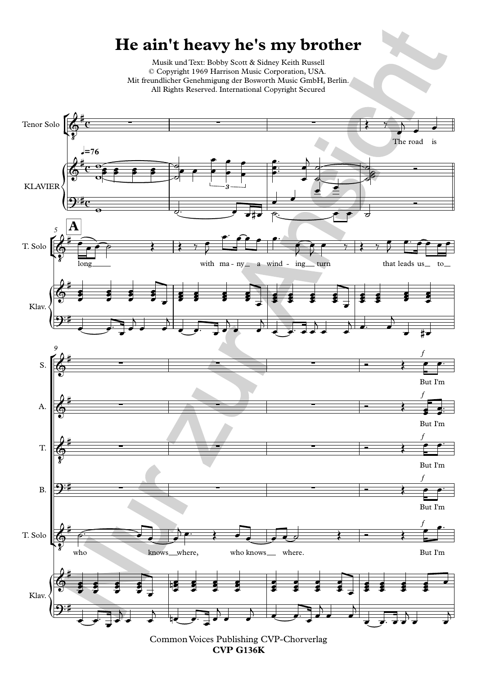## **He ain't heavy he's my brother**

Musik und Text: Bobby Scott & Sidney Keith Russell © Copyright 1969 Harrison Music Corporation, USA. Mit freundlicher Genehmigung der Bosworth Music GmbH, Berlin. All Rights Reserved. International Copyright Secured



Common Voices Publishing CVP-Chorverlag **CVP G136K**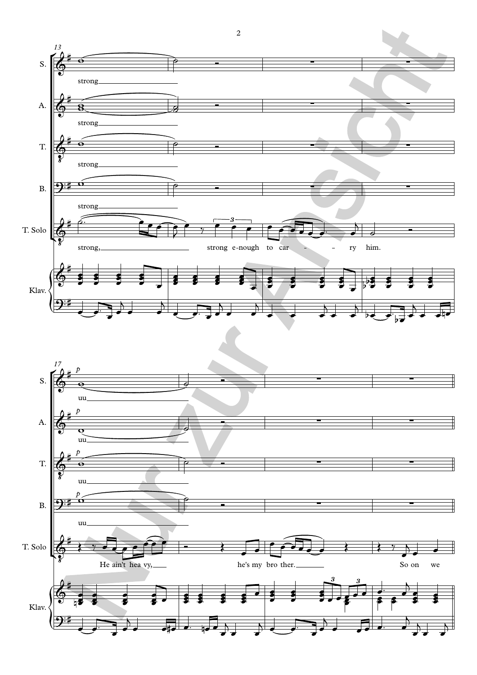

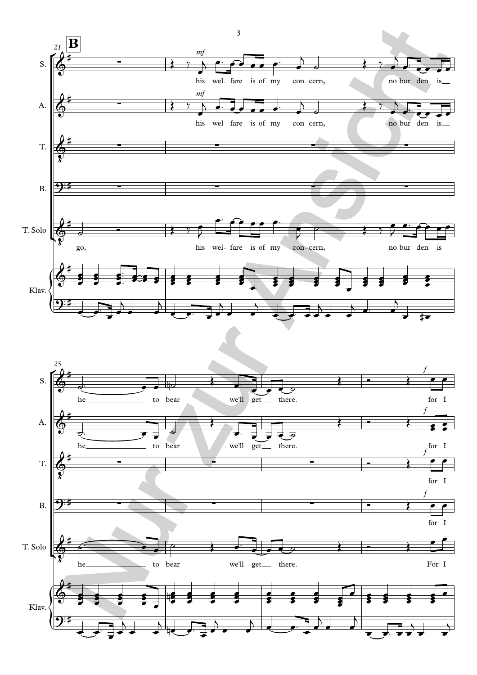



3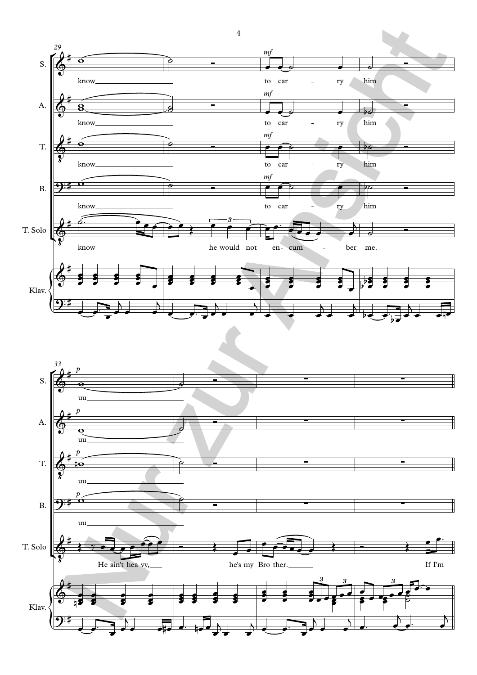

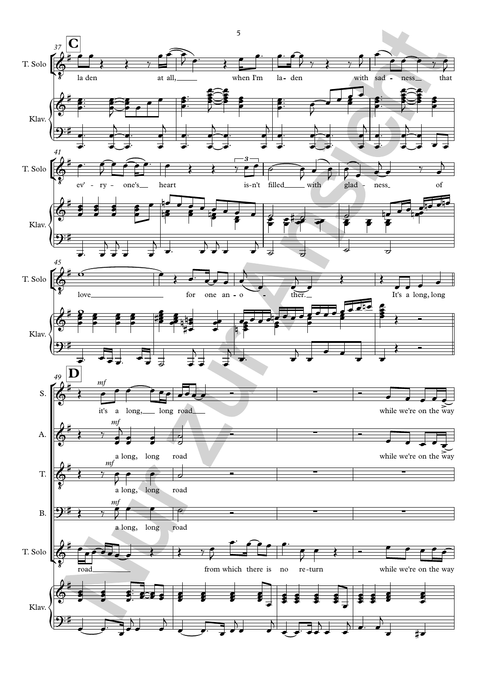